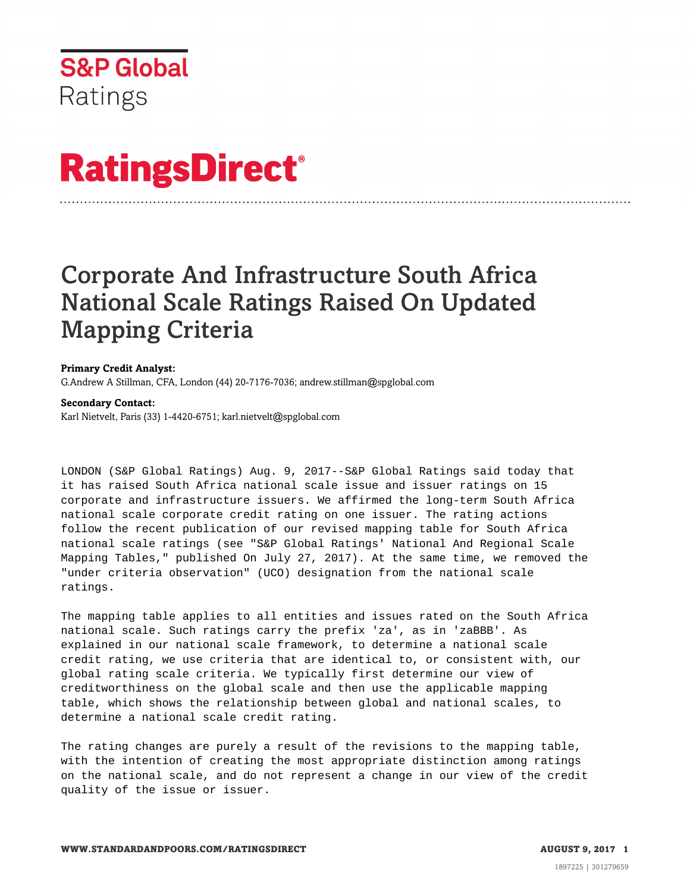

# **RatingsDirect®**

# Corporate And Infrastructure South Africa National Scale Ratings Raised On Updated Mapping Criteria

### **Primary Credit Analyst:**

G.Andrew A Stillman, CFA, London (44) 20-7176-7036; andrew.stillman@spglobal.com

#### **Secondary Contact:**

Karl Nietvelt, Paris (33) 1-4420-6751; karl.nietvelt@spglobal.com

LONDON (S&P Global Ratings) Aug. 9, 2017--S&P Global Ratings said today that it has raised South Africa national scale issue and issuer ratings on 15 corporate and infrastructure issuers. We affirmed the long-term South Africa national scale corporate credit rating on one issuer. The rating actions follow the recent publication of our revised mapping table for South Africa national scale ratings (see "S&P Global Ratings' National And Regional Scale Mapping Tables," published On July 27, 2017). At the same time, we removed the "under criteria observation" (UCO) designation from the national scale ratings.

The mapping table applies to all entities and issues rated on the South Africa national scale. Such ratings carry the prefix 'za', as in 'zaBBB'. As explained in our national scale framework, to determine a national scale credit rating, we use criteria that are identical to, or consistent with, our global rating scale criteria. We typically first determine our view of creditworthiness on the global scale and then use the applicable mapping table, which shows the relationship between global and national scales, to determine a national scale credit rating.

The rating changes are purely a result of the revisions to the mapping table, with the intention of creating the most appropriate distinction among ratings on the national scale, and do not represent a change in our view of the credit quality of the issue or issuer.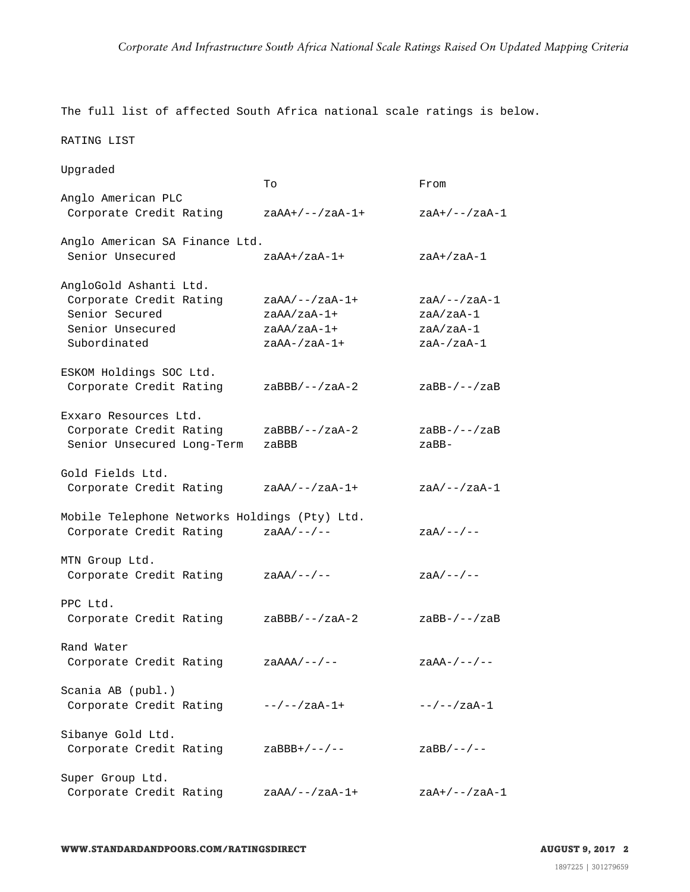The full list of affected South Africa national scale ratings is below.

RATING LIST

| Upgraded                                                                                                |                                                                    |                                                                  |
|---------------------------------------------------------------------------------------------------------|--------------------------------------------------------------------|------------------------------------------------------------------|
|                                                                                                         | To                                                                 | From                                                             |
| Anglo American PLC<br>Corporate Credit Rating                                                           | $zaAA+/--/zaA-1+$                                                  | $zaA+/--/zaA-1$                                                  |
| Anglo American SA Finance Ltd.<br>Senior Unsecured                                                      | $z$ a $AA$ +/za $A$ -1+                                            | $zaA+/zaA-1$                                                     |
|                                                                                                         |                                                                    |                                                                  |
| AngloGold Ashanti Ltd.<br>Corporate Credit Rating<br>Senior Secured<br>Senior Unsecured<br>Subordinated | $zaAA/--/zaA-1+$<br>$zaAA/zaA-1+$<br>$zaAA/zaA-1+$<br>zaAA-/zaA-1+ | $zaA/--/zaA-1$<br>zaA/zaA-1<br>zaA/zaA-1<br>$z$ a $A-/z$ a $A-1$ |
| ESKOM Holdings SOC Ltd.                                                                                 |                                                                    |                                                                  |
| Corporate Credit Rating                                                                                 | $z$ aBBB/--/zaA-2                                                  | $z$ aBB-/--/zaB                                                  |
| Exxaro Resources Ltd.                                                                                   |                                                                    |                                                                  |
| Corporate Credit Rating<br>Senior Unsecured Long-Term                                                   | $z$ aBBB/--/zaA-2<br>zaBBB                                         | $z$ aBB- $/$ -- $/z$ aB<br>zaBB-                                 |
| Gold Fields Ltd.                                                                                        |                                                                    |                                                                  |
| Corporate Credit Rating                                                                                 | $zaAA/--/zaA-1+$                                                   | $zaA/--/zaA-1$                                                   |
| Mobile Telephone Networks Holdings (Pty) Ltd.<br>Corporate Credit Rating zaAA/--/--                     |                                                                    | $zaA/---$ /--                                                    |
| MTN Group Ltd.<br>Corporate Credit Rating                                                               | $zaAA/---$ /--                                                     | $zaA/---$ /--                                                    |
| PPC Ltd.<br>Corporate Credit Rating                                                                     | $z$ aBBB/--/zaA-2                                                  | $z$ aBB-/--/zaB                                                  |
| Rand Water                                                                                              |                                                                    |                                                                  |
| Corporate Credit Rating                                                                                 | $zaAAA/---$ /--                                                    | $z$ a $AA$ -/--/--                                               |
| Scania AB (publ.)                                                                                       |                                                                    |                                                                  |
| Corporate Credit Rating                                                                                 | $-$ -/--/zaA-1+                                                    | $-$ -/--/zaA-1                                                   |
| Sibanye Gold Ltd.<br>Corporate Credit Rating                                                            | $z$ aBBB+/--/--                                                    | $z$ aBB/--/--                                                    |
| Super Group Ltd.                                                                                        |                                                                    |                                                                  |
| Corporate Credit Rating                                                                                 | $zaAA/--/zaA-1+$                                                   | zaA+/--/zaA-1                                                    |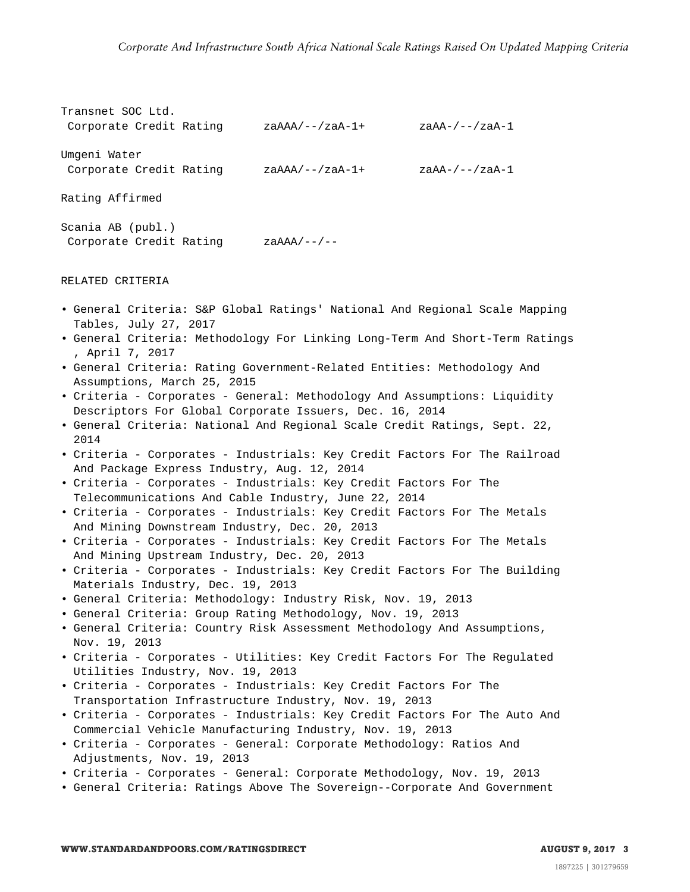```
Transnet SOC Ltd.
Corporate Credit Rating zaAAA/--/zaA-1+ zaAA-/--/zaA-1
Umgeni Water
Corporate Credit Rating zaAAA/--/zaA-1+ zaAA-/--/zaA-1
Rating Affirmed
Scania AB (publ.)
Corporate Credit Rating zaAAA/--/--
```
#### RELATED CRITERIA

- General Criteria: S&P Global Ratings' National And Regional Scale Mapping Tables, July 27, 2017
- General Criteria: Methodology For Linking Long-Term And Short-Term Ratings , April 7, 2017
- General Criteria: Rating Government-Related Entities: Methodology And Assumptions, March 25, 2015
- Criteria Corporates General: Methodology And Assumptions: Liquidity Descriptors For Global Corporate Issuers, Dec. 16, 2014
- General Criteria: National And Regional Scale Credit Ratings, Sept. 22, 2014
- Criteria Corporates Industrials: Key Credit Factors For The Railroad And Package Express Industry, Aug. 12, 2014
- Criteria Corporates Industrials: Key Credit Factors For The Telecommunications And Cable Industry, June 22, 2014
- Criteria Corporates Industrials: Key Credit Factors For The Metals And Mining Downstream Industry, Dec. 20, 2013
- Criteria Corporates Industrials: Key Credit Factors For The Metals And Mining Upstream Industry, Dec. 20, 2013
- Criteria Corporates Industrials: Key Credit Factors For The Building Materials Industry, Dec. 19, 2013
- General Criteria: Methodology: Industry Risk, Nov. 19, 2013
- General Criteria: Group Rating Methodology, Nov. 19, 2013
- General Criteria: Country Risk Assessment Methodology And Assumptions, Nov. 19, 2013
- Criteria Corporates Utilities: Key Credit Factors For The Regulated Utilities Industry, Nov. 19, 2013
- Criteria Corporates Industrials: Key Credit Factors For The Transportation Infrastructure Industry, Nov. 19, 2013
- Criteria Corporates Industrials: Key Credit Factors For The Auto And Commercial Vehicle Manufacturing Industry, Nov. 19, 2013
- Criteria Corporates General: Corporate Methodology: Ratios And Adjustments, Nov. 19, 2013
- Criteria Corporates General: Corporate Methodology, Nov. 19, 2013
- General Criteria: Ratings Above The Sovereign--Corporate And Government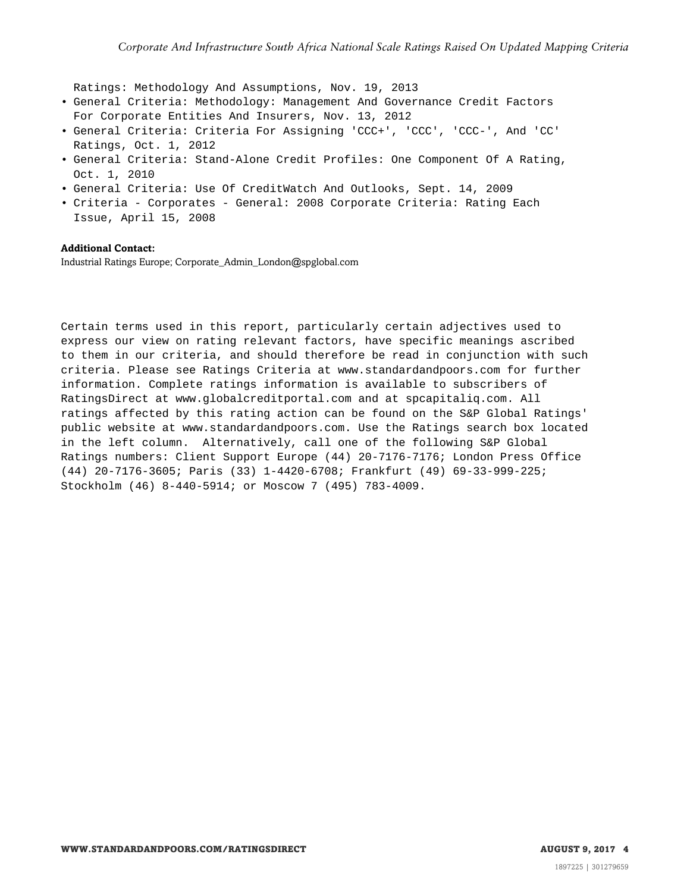Ratings: Methodology And Assumptions, Nov. 19, 2013

- General Criteria: Methodology: Management And Governance Credit Factors For Corporate Entities And Insurers, Nov. 13, 2012
- General Criteria: Criteria For Assigning 'CCC+', 'CCC', 'CCC-', And 'CC' Ratings, Oct. 1, 2012
- General Criteria: Stand-Alone Credit Profiles: One Component Of A Rating, Oct. 1, 2010
- General Criteria: Use Of CreditWatch And Outlooks, Sept. 14, 2009
- Criteria Corporates General: 2008 Corporate Criteria: Rating Each Issue, April 15, 2008

## **Additional Contact:**

Industrial Ratings Europe; Corporate\_Admin\_London@spglobal.com

Certain terms used in this report, particularly certain adjectives used to express our view on rating relevant factors, have specific meanings ascribed to them in our criteria, and should therefore be read in conjunction with such criteria. Please see Ratings Criteria at www.standardandpoors.com for further information. Complete ratings information is available to subscribers of RatingsDirect at www.globalcreditportal.com and at spcapitaliq.com. All ratings affected by this rating action can be found on the S&P Global Ratings' public website at www.standardandpoors.com. Use the Ratings search box located in the left column. Alternatively, call one of the following S&P Global Ratings numbers: Client Support Europe (44) 20-7176-7176; London Press Office (44) 20-7176-3605; Paris (33) 1-4420-6708; Frankfurt (49) 69-33-999-225; Stockholm (46) 8-440-5914; or Moscow 7 (495) 783-4009.